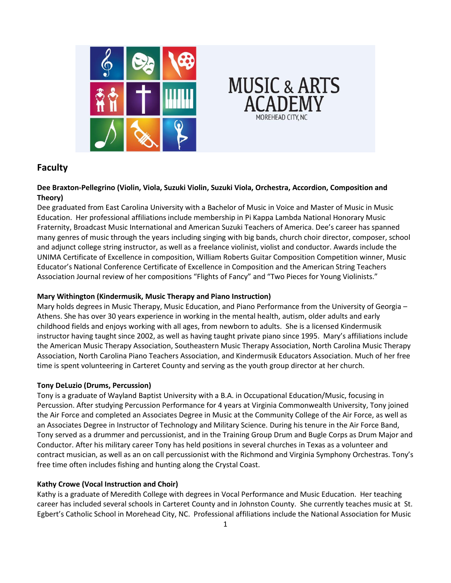



# **Faculty**

## **Dee Braxton-Pellegrino (Violin, Viola, Suzuki Violin, Suzuki Viola, Orchestra, Accordion, Composition and Theory)**

Dee graduated from East Carolina University with a Bachelor of Music in Voice and Master of Music in Music Education. Her professional affiliations include membership in Pi Kappa Lambda National Honorary Music Fraternity, Broadcast Music International and American Suzuki Teachers of America. Dee's career has spanned many genres of music through the years including singing with big bands, church choir director, composer, school and adjunct college string instructor, as well as a freelance violinist, violist and conductor. Awards include the UNIMA Certificate of Excellence in composition, William Roberts Guitar Composition Competition winner, Music Educator's National Conference Certificate of Excellence in Composition and the American String Teachers Association Journal review of her compositions "Flights of Fancy" and "Two Pieces for Young Violinists."

#### **Mary Withington (Kindermusik, Music Therapy and Piano Instruction)**

Mary holds degrees in Music Therapy, Music Education, and Piano Performance from the University of Georgia – Athens. She has over 30 years experience in working in the mental health, autism, older adults and early childhood fields and enjoys working with all ages, from newborn to adults. She is a licensed Kindermusik instructor having taught since 2002, as well as having taught private piano since 1995. Mary's affiliations include the American Music Therapy Association, Southeastern Music Therapy Association, North Carolina Music Therapy Association, North Carolina Piano Teachers Association, and Kindermusik Educators Association. Much of her free time is spent volunteering in Carteret County and serving as the youth group director at her church.

#### **Tony DeLuzio (Drums, Percussion)**

Tony is a graduate of Wayland Baptist University with a B.A. in Occupational Education/Music, focusing in Percussion. After studying Percussion Performance for 4 years at Virginia Commonwealth University, Tony joined the Air Force and completed an Associates Degree in Music at the Community College of the Air Force, as well as an Associates Degree in Instructor of Technology and Military Science. During his tenure in the Air Force Band, Tony served as a drummer and percussionist, and in the Training Group Drum and Bugle Corps as Drum Major and Conductor. After his military career Tony has held positions in several churches in Texas as a volunteer and contract musician, as well as an on call percussionist with the Richmond and Virginia Symphony Orchestras. Tony's free time often includes fishing and hunting along the Crystal Coast.

# **Kathy Crowe (Vocal Instruction and Choir)**

Kathy is a graduate of Meredith College with degrees in Vocal Performance and Music Education. Her teaching career has included several schools in Carteret County and in Johnston County. She currently teaches music at St. Egbert's Catholic School in Morehead City, NC. Professional affiliations include the National Association for Music